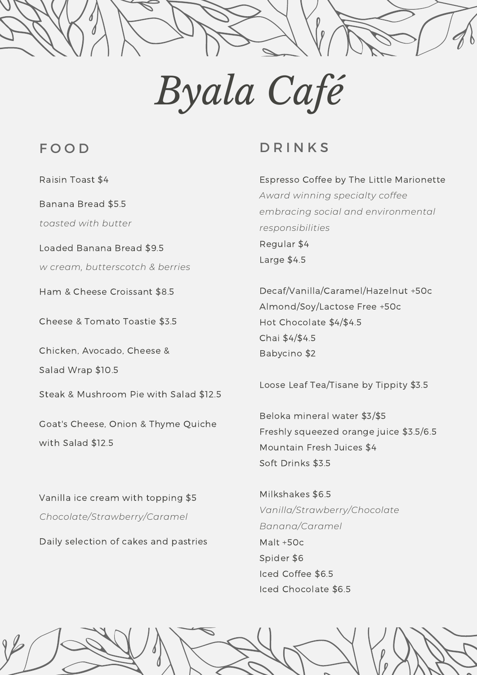## *Byala Café*

## F O O D

Raisin Toast \$4

Banana Bread \$5.5

*toasted with butter*

Loaded Banana Bread \$9.5

*w cream, butterscotch & berries*

Ham & Cheese Croissant \$8.5

Cheese & Tomato Toastie \$3.5

Chicken, Avocado, Cheese &

Salad Wrap \$10.5

Steak & Mushroom Pie with Salad \$12.5

Goat's Cheese, Onion & Thyme Quiche with Salad \$12.5

Vanilla ice cream with topping \$5 *Chocolate/Strawberry/Caramel*

Daily selection of cakes and pastries

## **D R I N K S**

Espresso Coffee by The Little Marionette *Award winning specialty coffee embracing social and environmental responsibilities* Regular \$4 Large \$4.5

Decaf/Vanilla/Caramel/Hazelnut +50c Almond/Soy/Lactose Free +50c Hot Chocolate \$4/\$4.5 Chai \$4/\$4.5 Babycino \$2

Loose Leaf Tea/Tisane by Tippity \$3.5

Beloka mineral water \$3/\$5 Freshly squeezed orange juice \$3.5/6.5 Mountain Fresh Juices \$4 Soft Drinks \$3.5

Milkshakes \$6.5 *Vanilla/Strawberry/Chocolate Banana/Caramel* Malt +50c Spider \$6 Iced Coffee \$6.5 Iced Chocolate \$6.5